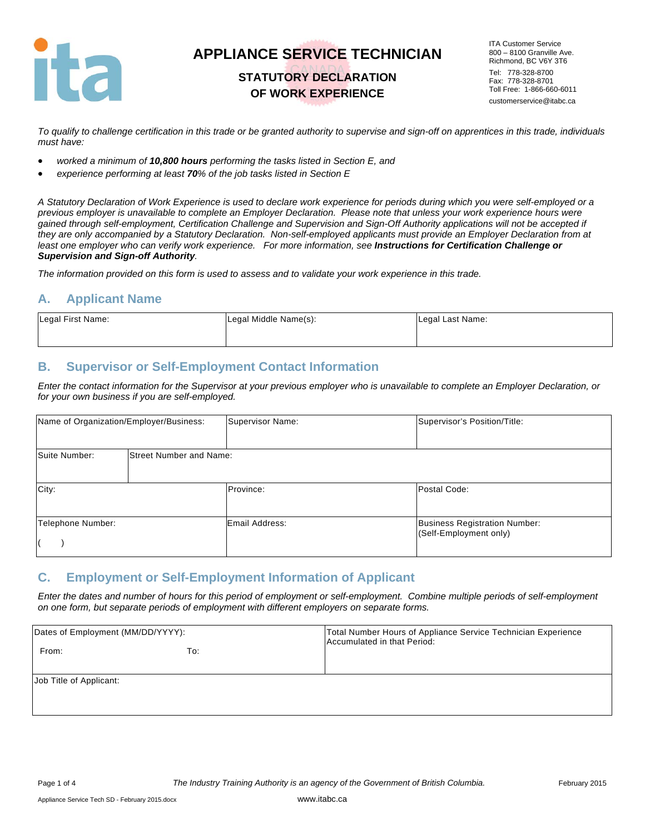

## **STATUTORY DECLARATION OF WORK EXPERIENCE**

ITA Customer Service 800 – 8100 Granville Ave. Richmond, BC V6Y 3T6 Tel: 778-328-8700 Fax: 778-328-8701 Toll Free: 1-866-660-6011 customerservice@itabc.ca

*To qualify to challenge certification in this trade or be granted authority to supervise and sign-off on apprentices in this trade, individuals must have:* 

- *worked a minimum of 10,800 hours performing the tasks listed in Section E, and*
- *experience performing at least 70% of the job tasks listed in Section E*

*A Statutory Declaration of Work Experience is used to declare work experience for periods during which you were self-employed or a previous employer is unavailable to complete an Employer Declaration. Please note that unless your work experience hours were gained through self-employment, Certification Challenge and Supervision and Sign-Off Authority applications will not be accepted if they are only accompanied by a Statutory Declaration. Non-self-employed applicants must provide an Employer Declaration from at*  least one employer who can verify work experience. For more information, see **Instructions for Certification Challenge or** *Supervision and Sign-off Authority.* 

*The information provided on this form is used to assess and to validate your work experience in this trade.* 

### **A. Applicant Name**

| Legal First Name: | Legal Middle Name(s): | Legal Last Name: |
|-------------------|-----------------------|------------------|
|                   |                       |                  |

### **B. Supervisor or Self-Employment Contact Information**

*Enter the contact information for the Supervisor at your previous employer who is unavailable to complete an Employer Declaration, or for your own business if you are self-employed.* 

| Name of Organization/Employer/Business: |                                | Supervisor Name:      | Supervisor's Position/Title:                                   |
|-----------------------------------------|--------------------------------|-----------------------|----------------------------------------------------------------|
| Suite Number:                           | <b>Street Number and Name:</b> |                       |                                                                |
| City:                                   |                                | Province:             | Postal Code:                                                   |
| Telephone Number:                       |                                | <b>Email Address:</b> | <b>Business Registration Number:</b><br>(Self-Employment only) |

#### **C. Employment or Self-Employment Information of Applicant**

*Enter the dates and number of hours for this period of employment or self-employment. Combine multiple periods of self-employment on one form, but separate periods of employment with different employers on separate forms.* 

| Dates of Employment (MM/DD/YYYY): |     | Total Number Hours of Appliance Service Technician Experience<br>Accumulated in that Period: |
|-----------------------------------|-----|----------------------------------------------------------------------------------------------|
| From:                             | To: |                                                                                              |
| Job Title of Applicant:           |     |                                                                                              |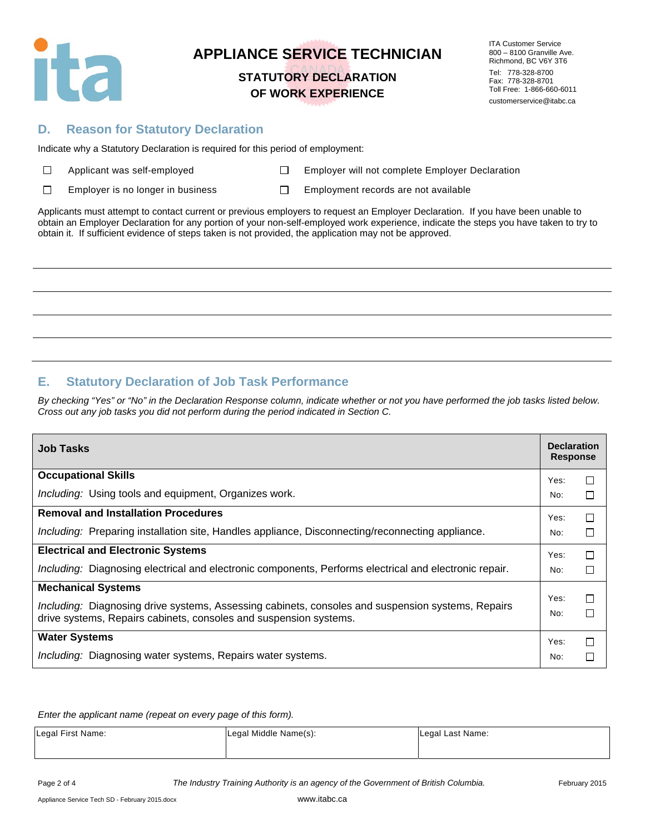

### **STATUTORY DECLARATION OF WORK EXPERIENCE**

ITA Customer Service 800 – 8100 Granville Ave. Richmond, BC V6Y 3T6 Tel: 778-328-8700 Fax: 778-328-8701 Toll Free: 1-866-660-6011 customerservice@itabc.ca

### **D. Reason for Statutory Declaration**

Indicate why a Statutory Declaration is required for this period of employment:

| $\Box$ |  | Applicant was self-employe |
|--------|--|----------------------------|
|--------|--|----------------------------|

ed **Employer will not complete Employer Declaration** 

 $\Box$ Employer is no longer in business  $\square$  Employment records are not available

Applicants must attempt to contact current or previous employers to request an Employer Declaration. If you have been unable to obtain an Employer Declaration for any portion of your non-self-employed work experience, indicate the steps you have taken to try to obtain it. If sufficient evidence of steps taken is not provided, the application may not be approved.

## **E. Statutory Declaration of Job Task Performance**

*By checking "Yes" or "No" in the Declaration Response column, indicate whether or not you have performed the job tasks listed below. Cross out any job tasks you did not perform during the period indicated in Section C.* 

| <b>Job Tasks</b>                                                                                       | <b>Declaration</b><br><b>Response</b> |        |
|--------------------------------------------------------------------------------------------------------|---------------------------------------|--------|
| <b>Occupational Skills</b>                                                                             | Yes:                                  | □      |
| <i>Including:</i> Using tools and equipment, Organizes work.                                           | No:                                   | П      |
| <b>Removal and Installation Procedures</b>                                                             | Yes:                                  | □      |
| Including: Preparing installation site, Handles appliance, Disconnecting/reconnecting appliance.       | No:                                   | □      |
| <b>Electrical and Electronic Systems</b>                                                               | Yes:                                  | П      |
| Including: Diagnosing electrical and electronic components, Performs electrical and electronic repair. | No:                                   | □      |
| <b>Mechanical Systems</b>                                                                              |                                       |        |
| Including: Diagnosing drive systems, Assessing cabinets, consoles and suspension systems, Repairs      | Yes:<br>No:                           | □<br>П |
| drive systems, Repairs cabinets, consoles and suspension systems.                                      |                                       |        |
| <b>Water Systems</b>                                                                                   | Yes:                                  | П      |
| <i>Including:</i> Diagnosing water systems, Repairs water systems.                                     | No:                                   | П      |

*Enter the applicant name (repeat on every page of this form).* 

| Legal First Name: | Legal Middle Name(s): | Legal Last Name: |
|-------------------|-----------------------|------------------|
|                   |                       |                  |

Page 2 of 4 *The Industry Training Authority is an agency of the Government of British Columbia.* February 2015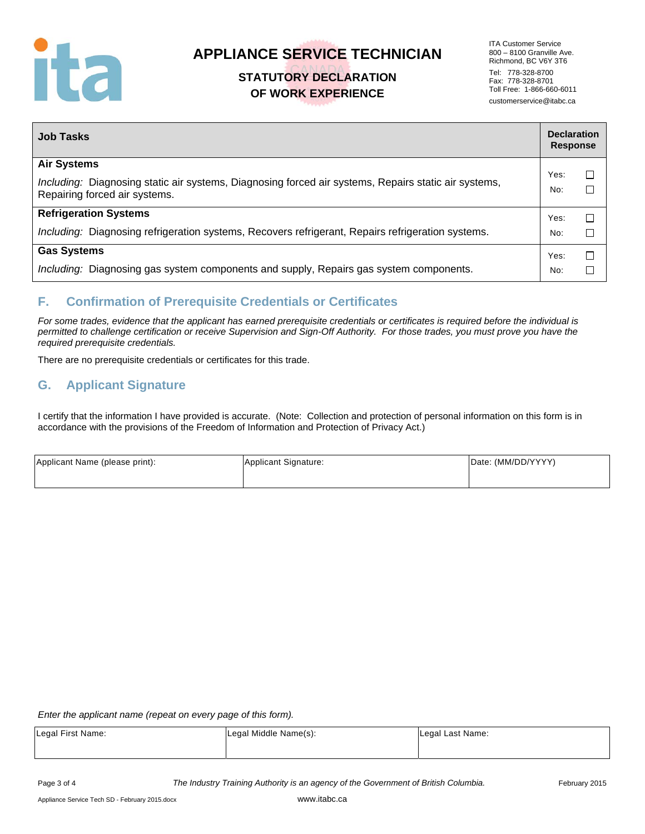

## **STATUTORY DECLARATION OF WORK EXPERIENCE**

ITA Customer Service 800 – 8100 Granville Ave. Richmond, BC V6Y 3T6 Tel: 778-328-8700 Fax: 778-328-8701 Toll Free: 1-866-660-6011 customerservice@itabc.ca

| <b>Job Tasks</b>                                                                                                                      | <b>Declaration</b><br><b>Response</b> |        |
|---------------------------------------------------------------------------------------------------------------------------------------|---------------------------------------|--------|
| <b>Air Systems</b>                                                                                                                    | Yes:                                  | $\Box$ |
| Including: Diagnosing static air systems, Diagnosing forced air systems, Repairs static air systems,<br>Repairing forced air systems. | No:                                   | $\Box$ |
| <b>Refrigeration Systems</b>                                                                                                          | Yes:                                  | $\Box$ |
| Including: Diagnosing refrigeration systems, Recovers refrigerant, Repairs refrigeration systems.                                     | No:                                   | П      |
| <b>Gas Systems</b>                                                                                                                    | Yes:                                  | $\Box$ |
| Including: Diagnosing gas system components and supply, Repairs gas system components.                                                | No:                                   | □      |

### **F. Confirmation of Prerequisite Credentials or Certificates**

*For some trades, evidence that the applicant has earned prerequisite credentials or certificates is required before the individual is permitted to challenge certification or receive Supervision and Sign-Off Authority. For those trades, you must prove you have the required prerequisite credentials.* 

There are no prerequisite credentials or certificates for this trade.

### **G. Applicant Signature**

I certify that the information I have provided is accurate. (Note: Collection and protection of personal information on this form is in accordance with the provisions of the Freedom of Information and Protection of Privacy Act.)

| Applicant Name (please print): | Applicant Signature: | Date: (MM/DD/YYYY) |
|--------------------------------|----------------------|--------------------|
|                                |                      |                    |

*Enter the applicant name (repeat on every page of this form).* 

| Legal First Name: | Legal Middle Name(s): | Legal Last Name: |
|-------------------|-----------------------|------------------|
|                   |                       |                  |